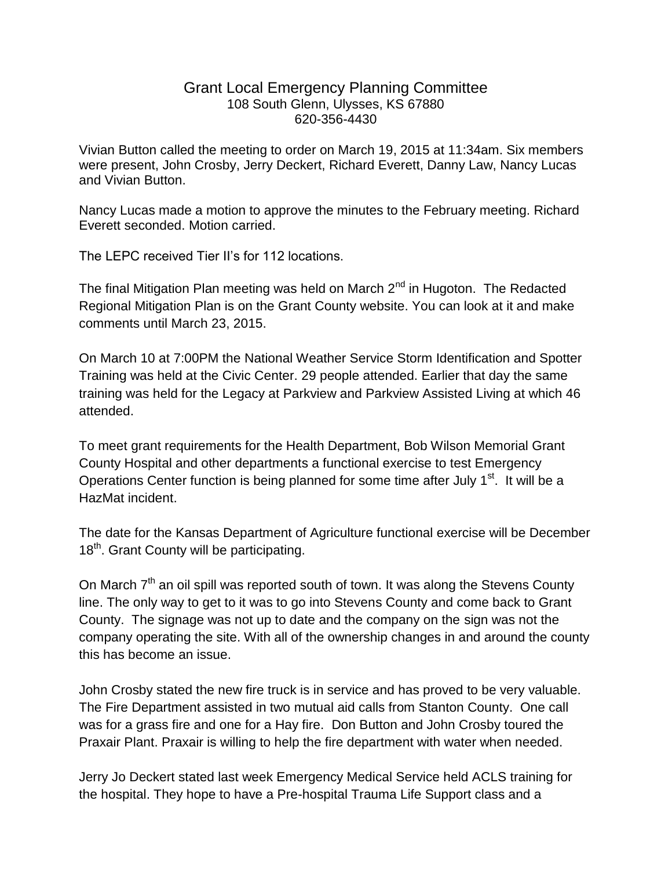## Grant Local Emergency Planning Committee 108 South Glenn, Ulysses, KS 67880 620-356-4430

Vivian Button called the meeting to order on March 19, 2015 at 11:34am. Six members were present, John Crosby, Jerry Deckert, Richard Everett, Danny Law, Nancy Lucas and Vivian Button.

Nancy Lucas made a motion to approve the minutes to the February meeting. Richard Everett seconded. Motion carried.

The LEPC received Tier II's for 112 locations.

The final Mitigation Plan meeting was held on March  $2^{nd}$  in Hugoton. The Redacted Regional Mitigation Plan is on the Grant County website. You can look at it and make comments until March 23, 2015.

On March 10 at 7:00PM the National Weather Service Storm Identification and Spotter Training was held at the Civic Center. 29 people attended. Earlier that day the same training was held for the Legacy at Parkview and Parkview Assisted Living at which 46 attended.

To meet grant requirements for the Health Department, Bob Wilson Memorial Grant County Hospital and other departments a functional exercise to test Emergency Operations Center function is being planned for some time after July  $1<sup>st</sup>$ . It will be a HazMat incident.

The date for the Kansas Department of Agriculture functional exercise will be December 18<sup>th</sup>. Grant County will be participating.

On March 7<sup>th</sup> an oil spill was reported south of town. It was along the Stevens County line. The only way to get to it was to go into Stevens County and come back to Grant County. The signage was not up to date and the company on the sign was not the company operating the site. With all of the ownership changes in and around the county this has become an issue.

John Crosby stated the new fire truck is in service and has proved to be very valuable. The Fire Department assisted in two mutual aid calls from Stanton County. One call was for a grass fire and one for a Hay fire. Don Button and John Crosby toured the Praxair Plant. Praxair is willing to help the fire department with water when needed.

Jerry Jo Deckert stated last week Emergency Medical Service held ACLS training for the hospital. They hope to have a Pre-hospital Trauma Life Support class and a